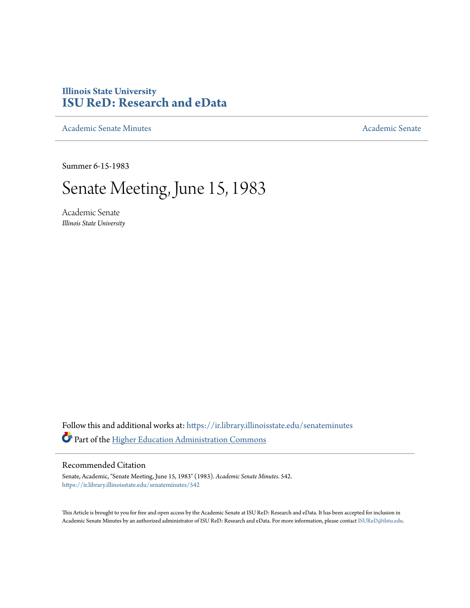# **Illinois State University [ISU ReD: Research and eData](https://ir.library.illinoisstate.edu?utm_source=ir.library.illinoisstate.edu%2Fsenateminutes%2F542&utm_medium=PDF&utm_campaign=PDFCoverPages)**

[Academic Senate Minutes](https://ir.library.illinoisstate.edu/senateminutes?utm_source=ir.library.illinoisstate.edu%2Fsenateminutes%2F542&utm_medium=PDF&utm_campaign=PDFCoverPages) [Academic Senate](https://ir.library.illinoisstate.edu/senate?utm_source=ir.library.illinoisstate.edu%2Fsenateminutes%2F542&utm_medium=PDF&utm_campaign=PDFCoverPages) Academic Senate

Summer 6-15-1983

# Senate Meeting, June 15, 1983

Academic Senate *Illinois State University*

Follow this and additional works at: [https://ir.library.illinoisstate.edu/senateminutes](https://ir.library.illinoisstate.edu/senateminutes?utm_source=ir.library.illinoisstate.edu%2Fsenateminutes%2F542&utm_medium=PDF&utm_campaign=PDFCoverPages) Part of the [Higher Education Administration Commons](http://network.bepress.com/hgg/discipline/791?utm_source=ir.library.illinoisstate.edu%2Fsenateminutes%2F542&utm_medium=PDF&utm_campaign=PDFCoverPages)

## Recommended Citation

Senate, Academic, "Senate Meeting, June 15, 1983" (1983). *Academic Senate Minutes*. 542. [https://ir.library.illinoisstate.edu/senateminutes/542](https://ir.library.illinoisstate.edu/senateminutes/542?utm_source=ir.library.illinoisstate.edu%2Fsenateminutes%2F542&utm_medium=PDF&utm_campaign=PDFCoverPages)

This Article is brought to you for free and open access by the Academic Senate at ISU ReD: Research and eData. It has been accepted for inclusion in Academic Senate Minutes by an authorized administrator of ISU ReD: Research and eData. For more information, please contact [ISUReD@ilstu.edu.](mailto:ISUReD@ilstu.edu)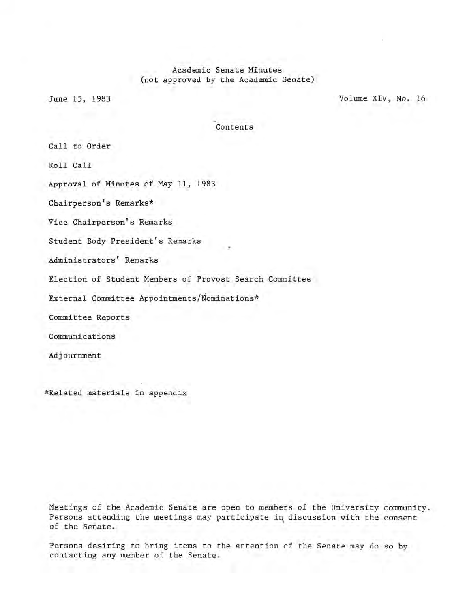## Academic Senate Minutes (not approved by the Academic Senate)

June 15, 1983 Volume XIV, No. 16

Contents

Call to Order

Roll Call

Approval of Minutes of May 11, 1983

Chairperson's Remarks\*

Vice Chairperson's Remarks

Student Body President's Remarks

Administrators' Remarks

Election of Student Members of Provost Search Committee

External Committee Appointments/Nominations\*

Committee Reports

Communications

Adjournment

\*Related materials in appendix

Meetings of the Academic Senate are open to members of the University community. Persons attending the meetings may participate in discussion with the consent of the Senate.

Persons desiring to bring items to the attention of the Senate may do so by contacting any member of the Senate.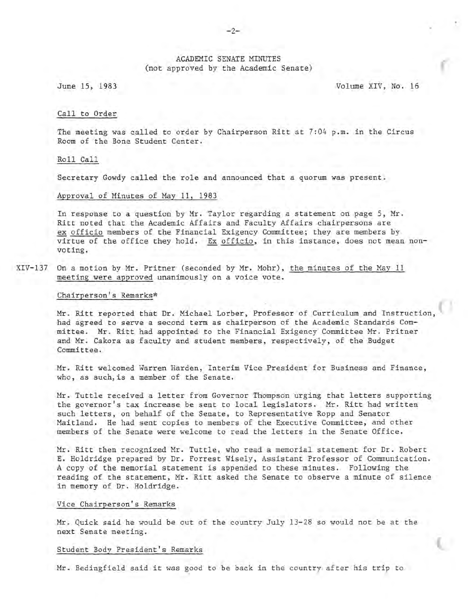### ACADEMIC SENATE MINUTES (not approved by the Academic Senate)

June 15, 1983 Volume XIV, No. 16

#### Call to Order

The meeting was called to order by Chairperson Ritt at 7:04 p.m. in the Circus Room of the Bone Student Center.

#### Roll Call

Secretary Gowdy called the role and announced that a quorum was present.

#### Approval of Minutes of May 11, 1983

In response to a question by Mr. Taylor regarding a statement on page 5, Mr. Ritt noted that the Academic Affairs and Faculty Affairs chairpersons are ex officio members of the Financial Exigency Committee; they are members by virtue of the office they hold. Ex officio, in this instance, does not mean nonvoting.

XIV-137 On a motion by Mr. Pritner (seconded by Mr. Mohr), the minutes of the May 11 meeting were approved unanimously on a voice vote.

#### Chairperson's Remarks\*

Mr. Ritt reported that Dr. Michael Lorber, Professor of Curriculum and Instruction had agreed to serve a second term as chairperson of the Academic Standards Committee. Mr. Ritt had appointed to the Financial Exigency Committee Mr. Pritner and Mr. Cakora as faculty and student members, respectively, of the Budget Committee.

Mr. Ritt welcomed Warren Harden, Interim Vice President for Business and Finance, who, as such, is a member of the Senate.

Mr. Tuttle received a letter from Governor Thompson urging that letters supporting the governor's tax increase be sent to local legislators. Mr. Ritt had written such letters, on behalf of the Senate, to Representative Ropp and Senator Maitland. He had sent copies to members of the Executive Committee, and other members of the Senate were welcome to read the letters in the Senate Office.

Mr. Ritt then recognized Mr. Tuttle, who read a memorial statement for Dr. Robert E. Holdridge prepared by Dr. Forrest Wisely, Assistant Professor of Communication. A copy of the memorial statement is appended to these minutes. Following the reading of the statement, Mr. Ritt asked the Senate to observe a minute of silence in memory of Dr. Holdridge.

#### Vice Chairperson's Remarks

Mr. Quick said he would be out of the country July 13-28 so would not be at the next Senate meeting.

#### Student Body President's Remarks

Mr. Bedingfield said it was good to be back in the country after his trip to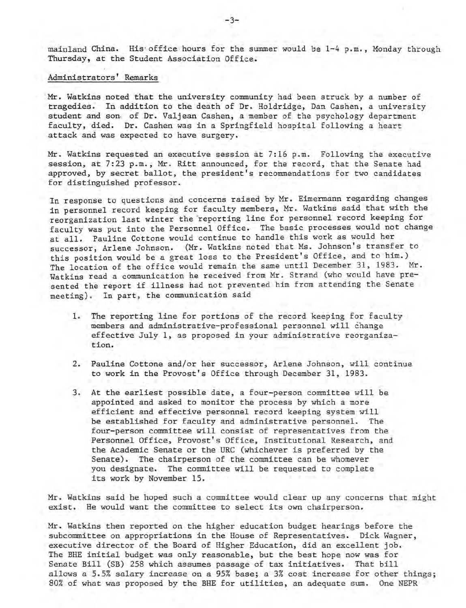mainland China. His office hours for the summer would be 1-4 p.m., Monday through Thursday, at the Student Association Office.

#### Administrators' Remarks

Mr. Watkins noted that the university community had been struck by a number of tragedies. In addition to the death of Dr. Holdridge, Dan Cashen, a university student and soni of Dr. Valjean Cashen, a member of the psychology department faculty, died. Dr. Cashen was in a Springfield hospital following a heart attack and was expected to have surgery.

Mr. Watkins requested an executive session at 7:16 p.m. Following the executive session, at 7:23 p.m., Mr. Ritt announced, for the record, that the Senate had approved, by secret ballot, the president's recommendations for two candidates for distinguished professor.

In response to questions and concerns raised by Mr. Eimermann regarding changes in personnel record keeping for faculty members, Mr. Watkins said that with the reorganization last winter the 'reporting line for personnel record keeping for faculty was put into the Personnel Office. The basic processes would not change at all. Pauline Cottone would continue to handle this work as would her successor, Arlene Johnson. (Mr. Watkins noted that Ms. Johnson's transfer to this position would be a great loss to the President's Office, and to him.) The location of the office would remain the same until December 31, 1983. Mr. Watkins read a communication he received from Mr. Strand (who would have presented the report if illness had not prevented him from attending the Senate meeting). In part, the communication said

- 1. The reporting line for portions of the record keeping for faculty members and administrative-professional personnel will change effective July 1, as proposed in your administrative reorganization.
- 2. Pauline Cottone and/or her successor, Arlene Johnson, will continue to work in the Provost's Office through December 31, 1983.
- 3. At the earliest possible date, a four-person committee will be appointed and asked to monitor the process by which a more efficient and effective personnel record keeping system will be established for faculty and administrative personnel. The four-person committee will consist of representatives from the Personnel Office, Provost's Office, Institutional Research, and the Academic Senate or the URC (whichever is preferred by the Senate). The chairperson of the committee can be whomever you designate. The committee will be requested to complete its work by November 15.

Mr. Watkins said he hoped such a committee would clear up any concerns that might exist. He would want the committee to select its own chairperson.

Mr. Watkins then reported on the higher education budget hearings before the subcommittee on appropriations in the House of Representatives. Dick Wagner, executive director of the Board of Higher Education, did an excellent job. The BHE initial budget was only reasonable, but the best hope now was for Senate Bill (SB) 258 which assumes passage of tax initiatives. That bill allows a 5.5% salary increase on a 95% base; a 3% cost increase for other things; 80% of what was proposed by the BHE for utilities, an adequate sum. One NEPR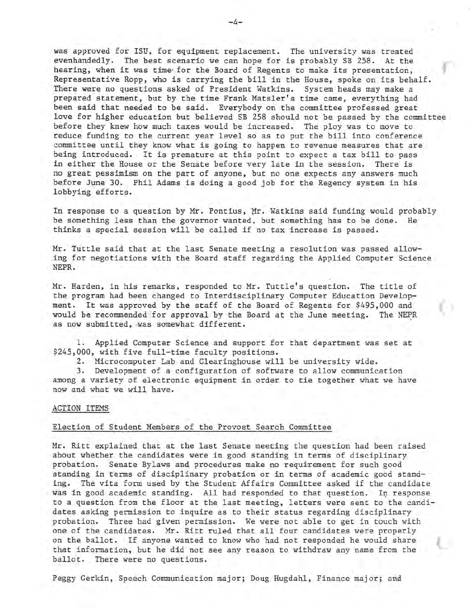was approved for ISU, for equipment replacement. The university was treated evenhandedly. The best scenario we can hope for is probably SB 258. At the hearing, when it was time for the Board of Regents to make its presentation, Representative Ropp, who is carrying the bill in the House, spoke on its behalf. There were no questions asked of President Watkins. System heads may make a prepared statement, but by the time Frank Matsler's time came, everything had been said that needed to be said. Everybody on the committee professed great love for higher education but believed SB 258 should not be passed by the committee before they knew how much taxes would be increased. The ploy was to move to reduce funding to the current year level so as to put the bill into conference committee until they know what is going to happen to revenue measures that are being introduced. It is premature at this point to expect a tax bill to pass<br>in either the House or the Senate before very late in the session. There is in either the House or the Senate before very late in the session. no great pessimism on the part of anyone, but no one expects any answers much before June 30. Phil Adams is doing a good job for the Regency system in his lobbying efforts.

In response to a question by Mr. Pontius, Mr. Watkins said funding would probably be something less than the governor wanted, but something has to be done. He thinks a special session will be called if no tax increase is passed.

Mr. Tuttle said that at the last Senate meeting a resolution was passed allowing for negotiations with the Board staff regarding the Applied Computer Science NEPR.

Mr. Harden, in his remarks, responded to Mr. Tuttle's question. The title of the program had been changed to Interdisciplinary Computer Education Development. It was approved by the staff of the Board of Regents for \$495,000 and would be recommended for approval by the Board at the June meeting. The NEPR as now submitted, was somewhat different.

1. Applied Computer Science and support for that department was set at \$245,000, with five full-time faculty positions.

2. Microcomputer Lab and Clearinghouse will be university wide.

3. Development of a configuration of software to allow communication among a variety of electronic equipment in order to tie together what we have now and what we will have .

#### ACTION ITEMS

### Election of Student Members of the Provost Search Committee

Mr. Ritt explained that at the last Senate meeting the question had been raised about whether the candidates were in good standing in terms of disciplinary probation. Senate Bylaws and procedures make no requirement for such good standing in terms of disciplinary probation or in terms of academic good standing. The vita form used by the Student Affairs Committee asked if the candidate was in good academic standing. All had responded to that question. In response to a question from the floor at the last meeting, letters were sent to the candidates asking permission to inquire as to their status regarding disciplinary probation. Three had given permission. We were not able to get in touch with one of the candidates. Mr. Ritt ruled that all four candidates were properly on the ballot. If anyone wanted to know who had not responded he would share that information, but he did not see any reason to withdraw any name from the ballot. There were no questions.

Peggy Gerkin, Speech Communication major; Doug Hugdahl, Finance major; and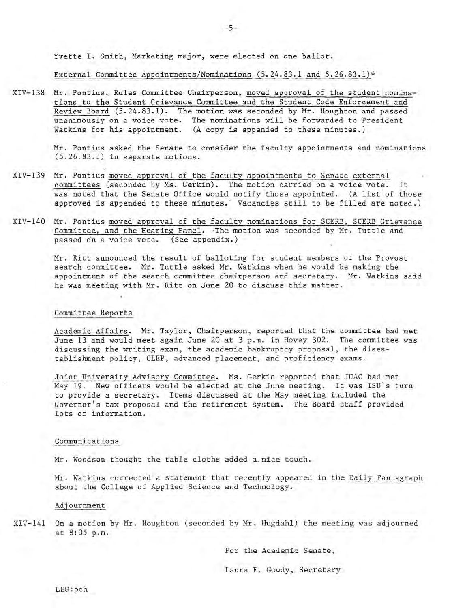Yvette I. Smith, Marketing major, were elected on one ballot.

External Committee Appointments/Nominations (5.24.83.1 and 5.26.83.1)\*

XIV-138 Mr. Pontius, Rules Committee Chairperson, moved approval of the student nominations to the Student Grievance Committee and the Student Code Enforcement and Review Board (5.24.83.1). The motion was seconded by Mr. Houghton and passed unanimously on a voice vote. The nominations will be forwarded to President Watkins for his appointment. (A copy is appended to these minutes.)

> Mr. Pontius asked the Senate to consider the faculty appointments and nominations (5.26.83.1) in separate motions.

- XIV-139 Mr. Pontius moved approval of the faculty appointments to Senate external committees (seconded by Ms. Gerkin). The motion carried on a voice vote. It was noted that the Senate Office would notify those appointed. (A list of those approved is appended to these minutes. ' Vacancies still to be filled are noted. )
- XIV-140 Mr. Pontius moved approval of the faculty nominations for SCERB, SCERB Grievance Committee, and the Hearing Panel. The motion was seconded by Mr. Tuttle and passed on a voice vote. (See appendix.)

Mr. Ritt announced the result of balloting for student members of the Provost search committee. Mr. Tuttle asked Mr. Watkins when he would be making the appointment of the search committee chairperson and secretary. Mr. Watkins said he was meeting with Mr. Ritt on June 20 to discuss this matter.

#### Committee Reports

Academic Affairs. Mr. Taylor, Chairperson, reported that the committee had met June 13 and would meet again June 20 at 3 p.m. in Hovey 302. The committee was discussing the writing exam, the academic bankruptcy proposal, the disestablishment policy, CLEP, advanced placement, and proficiency exams .

Joint University Advisory Committee. Ms. Gerkin reported that JUAC had met May 19 . New officers would be elected at the June meeting. It was ISU's turn to provide a secretary. Items discussed at the May meeting included the Governor's tax proposal and the retirement system. The Board staff provided lots of information.

#### Communications

Mr. Woodson thought the table cloths added a nice touch.

Mr . Watkins corrected a statement that recently appeared in the Daily Pantagraph about the College of Applied Science and Technology.

#### Adjournment

XIV-141 On a motion by Mr. Houghton (seconded by Mr. Hugdahl) the meeting was adjourned at 8:05 p.m.

For the Academic Senate,

Laura E. Gowdy, Secretary

LEG:pch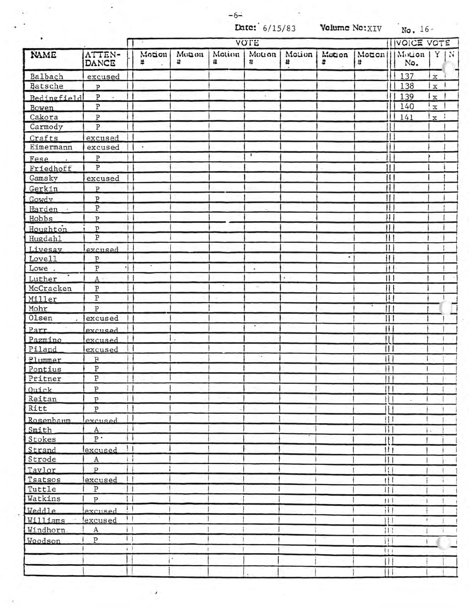$-6-$ 

**Late:**  $6/15/83$  **Volume No:** XIV No. 16-

| ٠           |                         | VOTE             |            |             |             |                          |             |             |                              | <b>IVOICE VOTE</b> |                      |   |
|-------------|-------------------------|------------------|------------|-------------|-------------|--------------------------|-------------|-------------|------------------------------|--------------------|----------------------|---|
| NAME        | ATTEN-<br>DANCE         | Motion<br>×      | Monon<br>4 | Motion<br># | Motion<br># | Motion<br>#              | Motion<br>÷ | Motion<br># |                              | Motion<br>No.      | Y                    | N |
| Balbach     | excused                 |                  |            |             |             |                          |             |             |                              | 137                | $\mathbf{\dot{x}}$   |   |
| Batsche     | $\mathsf{P}$            |                  |            |             |             |                          |             |             |                              | 138                | $\mathbf x$          |   |
| Bedingfield | P                       |                  |            |             |             |                          |             |             |                              | 139                | $\frac{1}{x}$        |   |
| Bowen       | $\, {\bf p}$            |                  |            |             |             |                          |             |             |                              | 140                | $\mathbf{x}^{\perp}$ |   |
| Cakora      | $\overline{\mathrm{P}}$ |                  |            |             |             |                          |             |             |                              | 141                | $\mathbf{x}$         |   |
| Carmody     | $\, {\bf p}$            |                  |            |             |             |                          |             |             |                              |                    |                      |   |
| Crafts      | excused                 | Н                |            |             |             |                          |             |             |                              |                    |                      |   |
| Eimermann   | excused                 | $\sim$           |            |             |             |                          |             |             |                              |                    |                      |   |
| Fese        | ${\tt P}$               |                  |            |             | ۰           |                          |             |             | L                            |                    |                      |   |
| Friedhoff   | P                       |                  |            |             |             |                          |             |             | Ħ                            |                    |                      |   |
| Gamsky      | excused                 |                  |            |             |             |                          |             |             | $\mathbf{\mu}$               |                    |                      |   |
| Gerkin      | P                       |                  |            |             |             |                          |             |             | Ħ                            |                    |                      |   |
| Gowdy       | $\mathbf{p}$            |                  |            |             |             |                          |             |             | Ħ                            |                    |                      |   |
| Harden ·    | $\, {\bf P}$            |                  |            |             |             |                          |             |             | $\mathbf{H}$                 |                    |                      |   |
| Hobbs       | P                       | m                |            |             |             |                          |             |             | $\mu$                        |                    |                      |   |
| Houghton    | P                       |                  |            |             |             |                          |             |             | Ħ                            |                    |                      |   |
| Hugdahl     | $\overline{P}$          |                  |            |             |             |                          |             |             | $\mathbf{H}$                 |                    |                      |   |
| Livesay     | excused                 |                  |            |             |             |                          |             |             | $\mathbf{  }$                |                    |                      |   |
| Love11      | P                       |                  |            |             |             |                          | ۰           |             | Ħ                            |                    |                      |   |
| Lowe.       | $\overline{P}$          | ٠<br>4 I         |            |             | ٠           |                          |             |             | Ħ                            |                    |                      |   |
| Luther      | A                       |                  |            |             |             | $\overline{\phantom{a}}$ |             |             |                              |                    |                      |   |
| McCracken   | P                       | M                |            |             | H.          |                          |             |             | π                            |                    |                      |   |
| Miller      | Ρ                       |                  |            |             |             |                          |             |             | ΤŢ                           |                    |                      |   |
| Mohr        | P                       |                  |            |             |             |                          |             |             | ₩                            |                    |                      |   |
| Olsen       | excused                 |                  |            |             |             |                          |             |             |                              |                    |                      |   |
| Parr        | excused                 |                  |            |             | ٠           |                          |             |             | $\mathbf{H}$                 |                    |                      |   |
| Pazmino     | excused                 |                  |            |             |             |                          |             | Ħ           |                              |                    |                      |   |
| Piland      | excused                 |                  |            |             |             |                          |             |             | Ш                            |                    |                      |   |
| Plummer     | $\, {\bf p}$            |                  |            |             |             |                          |             |             | Н                            |                    |                      |   |
| Pontius     | ${\tt P}$               |                  |            |             |             |                          |             |             | Ħ                            |                    |                      |   |
| Pritner     | ${\tt P}$               |                  |            |             |             |                          |             |             |                              |                    |                      |   |
| Ouick       | $\, {\bf p}$            | 11               |            |             |             |                          |             |             | l I                          |                    |                      |   |
| Reitan      | $\overline{P}$          | i i              |            |             |             |                          |             |             | $\mathbf{1}$                 |                    |                      |   |
| Ritt        | $\overline{P}$          | $^{\dagger}$     |            |             |             |                          |             |             | $\mathbf{H}$                 |                    |                      |   |
| Rosenbaum   | excused                 | 11               |            |             |             |                          |             |             | 11                           |                    |                      |   |
| Smith       | A                       | -1               |            |             |             |                          |             |             | $\lvert \rvert$              |                    |                      |   |
| Stokes      | $P$ .                   | ٠                |            |             |             |                          |             |             | 11                           |                    |                      |   |
| Strand      | lexcused                | $\mathbf{1}$     |            |             |             |                          |             |             | 111                          |                    |                      |   |
| Strode      | $\mathbf{A}$            | ïΙ               |            |             |             |                          |             |             | $\vert \vert$                |                    |                      |   |
| Taylor      | P                       | Н                |            |             |             |                          |             |             | ۱, ا                         |                    |                      |   |
| Tsatsos     | excused                 | $\vdash$         |            |             |             |                          |             |             | $\uparrow \uparrow \uparrow$ |                    |                      |   |
| Tuttle      | $\, {\bf P}$            | $\mathbf{1}$     |            |             |             |                          |             |             | Ш                            |                    |                      |   |
| Watkins     | $\overline{P}$          | $\Box$           |            |             |             |                          |             |             | 11                           |                    |                      |   |
| Weddle      | excused                 | $\overline{1}$   |            |             |             |                          |             |             | Ħ                            |                    |                      |   |
| Williams    | excused                 | $\frac{1}{2}$    |            |             |             |                          |             |             | НI                           | ٠                  |                      |   |
| Windhorn    | $\rm A$                 | i l              |            |             |             |                          |             |             | 111                          |                    |                      |   |
| Woodson     | ${\tt P}$               | $\left  \right $ |            |             |             |                          |             |             | ìI.                          |                    |                      |   |
|             |                         | $\mathbf{r}$     |            |             |             |                          |             |             | 111                          |                    |                      |   |
|             |                         |                  | ٠          |             |             |                          |             |             | $\mathbf{H}$                 |                    |                      |   |
|             |                         |                  |            |             |             |                          |             |             | $\mathbf{H}$                 |                    |                      |   |

÷,

J.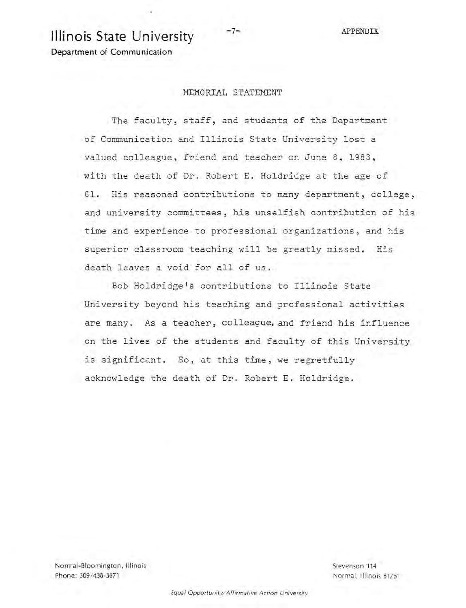# **Illinois State University**  $-7-$  APPENDIX

**Department of Communication** 

# MEMORIAL STATEMENT

The faculty, staff, and students of the Department of Communication and Illinois State University lost a valued colleague, friend and teacher on June 8, 1983, with the death of Dr. Robert E. Holdridge at the age of 61. His reasoned contributions to many department, college , and university committees, his unselfish contribution of his time and experience to professional organizations, and his superior classroom teaching will be greatly missed. His death leaves a void for all of us.

Bob Holdridge's contributions to Illinois State University beyond his teaching and professional activities are many. As a teacher, colleague, and friend his influence on the lives of the students and faculty of this University is significant. So, at this time, we regretfully acknowledge the death of Dr. Robert E. Holdridge.

Normal-Bloomington, Illinois Phone: 309/438-3671

Stevenson 114 Normal, Illinois 61761

Equal Opportunity/ Affirmative Action University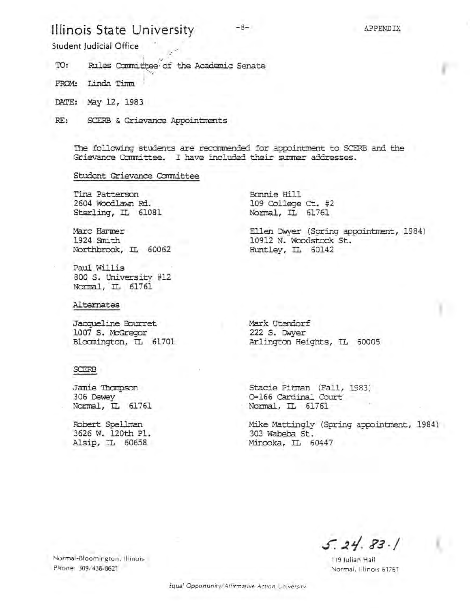# **Illinois State University**

Student Judicial Office

'ID: Rules Committee of the Academic Senate

FROM: Linda Timm

DATE: May 12, 1983

RE: SCERB & Grievance Appointments

The following students are recommended for appointment to SCERB and the Grievance Committee. I have included their summer addresses.

#### Student Grievance Canmittee

Tina Patterson 2604 Woodlawn Rd. Sterling, IL 61081

Marc Hammer 1924 9nith Northbrook, IL 60062

Paul Willis 800 S. university #12 Normal, IL 61761

Alternates

Jacqueline Bourret 1007 S. McGregor Bloomington, IL 61701

#### **SCERB**

Jamie 'Ihanpson 306 Dewey Normal, IL 61761

Fobert Spellman 3626 W. 120th Pl. Alsip, IL 60658

Bonnie Hill 109 College Ct. #2 Normal, IL 61761

Ellen Dwyer (Spring appointment, 1984) 10912 N. Woodstock St. Huntley, IL 60142

Mark Utendorf 222 S. IMyer Arlington Heights, IL 60005

Stacie Pitman (Fall, 1983) 0-166 Cardinal Court Normal, IL 61761

Mike Mattingly (Spring appointment, 1984) 303 Wabeba St. Minooka, IL 60447

 $5.24.83.1$ 

119 Julian Hall Normal, Illinois 61761

Normal-Bloomington , Illinois Phone: 309/438-8621

Equal Opportunity/ Affirmative Action University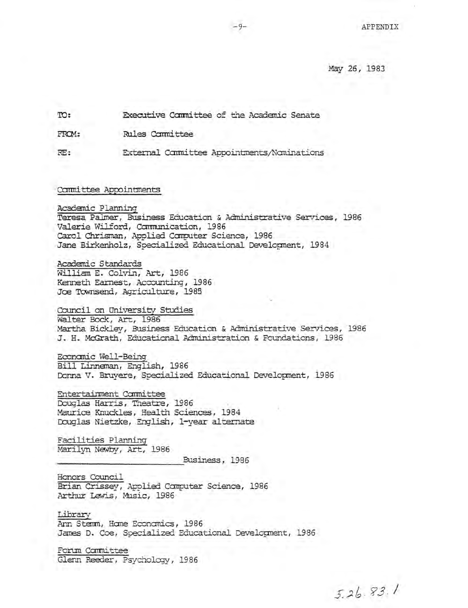May 26, 1983

TO: Executive Committee of the Academic Senate

**Rules Committee** FROM:

External Committee Appointments/Nominations  $RE:$ 

Committee Appointments

Academic Planning Teresa Palmer, Business Education & Administrative Services, 1986 Valerie Wilford, Communication, 1986 Carol Chrisman, Applied Computer Science, 1986 Jane Birkenholz, Specialized Educational Development, 1984

Academic Standards William E. Colvin, Art, 1986 Kenneth Earnest, Accounting, 1986 Joe Townsend, Agriculture, 1985

Council on University Studies Walter Bock, Art, 1986 Martha Bickley, Business Education & Administrative Services, 1986 J. H. McGrath, Educational Administration & Foundations, 1986

Economic Well-Being Bill Linneman, English, 1986 Donna V. Bruyere, Specialized Educational Development, 1986

Entertainment Committee Douglas Harris, Theatre, 1986 Maurice Knuckles, Health Sciences, 1984 Douglas Nietzke, English, 1-year alternate

Facilities Planning Marilyn Newby, Art, 1986

Business, 1986

Honors Council Brian Crissey, Applied Computer Science, 1986 Arthur Lewis, Music, 1986

Library Ann Stemm, Home Economics, 1986 James D. Coe, Specialized Educational Development, 1986

Forum Carmittee Glenn Reeder, Psychology, 1986